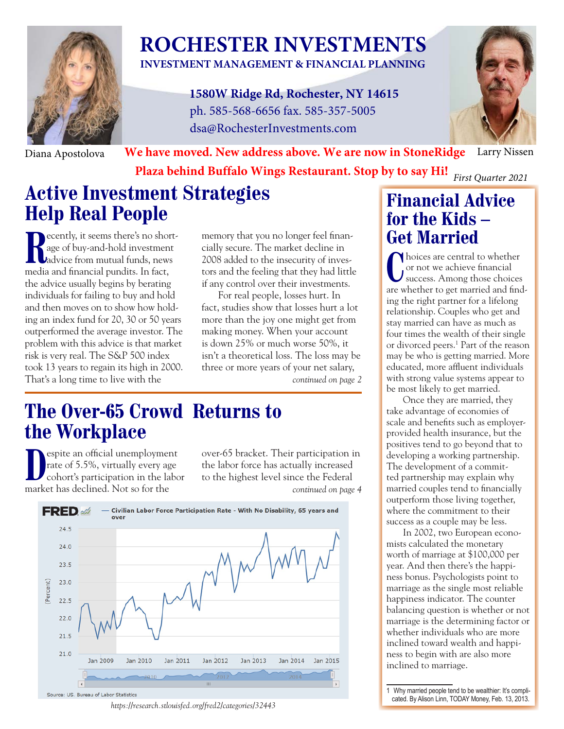

# **ROCHESTER INVESTMENTS**

**INVESTMENT MANAGEMENT & FINANCIAL PLANNING**

**1580W Ridge Rd, Rochester, NY 14615** ph. 585-568-6656 fax. 585-357-5005 dsa@RochesterInvestments.com



Diana Apostolova **We have moved. New address above. We are now in StoneRidge** Larry Nissen

**Plaza behind Buffalo Wings Restaurant. Stop by to say Hi!** *First Quarter 2021*

## **Active Investment Strategies Help Real People**

**R** ecently, it seems there's no short-<br>age of buy-and-hold investment<br>dadvice from mutual funds, news age of buy-and-hold investment advice from mutual funds, news media and financial pundits. In fact, the advice usually begins by berating individuals for failing to buy and hold and then moves on to show how holding an index fund for 20, 30 or 50 years outperformed the average investor. The problem with this advice is that market risk is very real. The S&P 500 index took 13 years to regain its high in 2000. That's a long time to live with the

memory that you no longer feel financially secure. The market decline in 2008 added to the insecurity of investors and the feeling that they had little if any control over their investments.

For real people, losses hurt. In fact, studies show that losses hurt a lot more than the joy one might get from making money. When your account is down 25% or much worse 50%, it isn't a theoretical loss. The loss may be three or more years of your net salary,

*continued on page 2*

## **The Over-65 Crowd Returns to the Workplace**

**D** espite an official unemploymer<br>
rate of 5.5%, virtually every ag<br>
cohort's participation in the la<br>
market has declined. Not so for the espite an official unemployment rate of 5.5%, virtually every age cohort's participation in the labor

over-65 bracket. Their participation in the labor force has actually increased to the highest level since the Federal *continued on page 4*



*https://research.stlouisfed.org/fred2/categories/32443*

### **Financial Advice for the Kids – Get Married**

I holces are central to whether<br>
or not we achieve financial<br>
success. Among those choices hoices are central to whether or not we achieve financial are whether to get married and finding the right partner for a lifelong relationship. Couples who get and stay married can have as much as four times the wealth of their single or divorced peers.1 Part of the reason may be who is getting married. More educated, more affluent individuals with strong value systems appear to be most likely to get married.

Once they are married, they take advantage of economies of scale and benefits such as employerprovided health insurance, but the positives tend to go beyond that to developing a working partnership. The development of a committed partnership may explain why married couples tend to financially outperform those living together, where the commitment to their success as a couple may be less.

In 2002, two European economists calculated the monetary worth of marriage at \$100,000 per year. And then there's the happiness bonus. Psychologists point to marriage as the single most reliable happiness indicator. The counter balancing question is whether or not marriage is the determining factor or whether individuals who are more inclined toward wealth and happiness to begin with are also more inclined to marriage.

1 Why married people tend to be wealthier: It's complicated. By Alison Linn, TODAY Money, Feb. 13, 2013.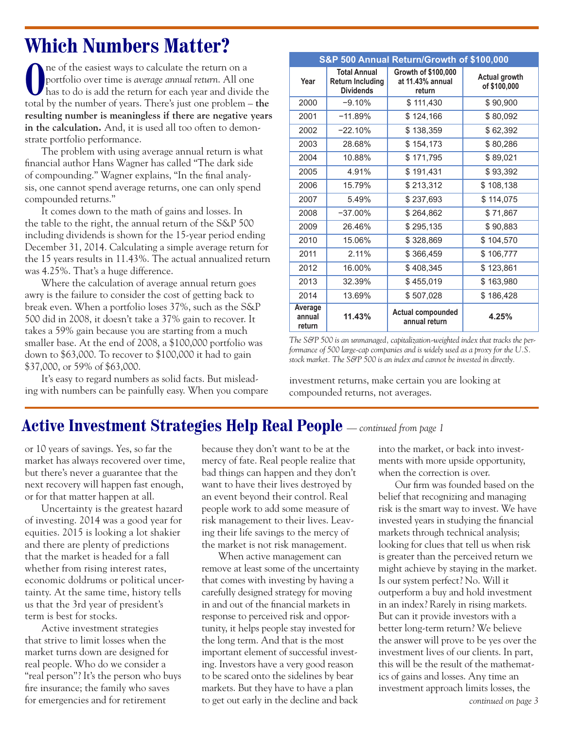## **Which Numbers Matter?**

The or the easiest ways to calculate the return on a<br>
portfolio over time is *average annual return*. All one<br>
has to do is add the return for each year and divide the ne of the easiest ways to calculate the return on a portfolio over time is *average annual return*. All one total by the number of years. There's just one problem – **the resulting number is meaningless if there are negative years in the calculation.** And, it is used all too often to demonstrate portfolio performance.

The problem with using average annual return is what financial author Hans Wagner has called "The dark side of compounding." Wagner explains, "In the final analysis, one cannot spend average returns, one can only spend compounded returns."

It comes down to the math of gains and losses. In the table to the right, the annual return of the S&P 500 including dividends is shown for the 15-year period ending December 31, 2014. Calculating a simple average return for the 15 years results in 11.43%. The actual annualized return was 4.25%. That's a huge difference.

Where the calculation of average annual return goes awry is the failure to consider the cost of getting back to break even. When a portfolio loses 37%, such as the S&P 500 did in 2008, it doesn't take a 37% gain to recover. It takes a 59% gain because you are starting from a much smaller base. At the end of 2008, a \$100,000 portfolio was down to \$63,000. To recover to \$100,000 it had to gain \$37,000, or 59% of \$63,000.

It's easy to regard numbers as solid facts. But misleading with numbers can be painfully easy. When you compare

| S&P 500 Annual Return/Growth of \$100,000 |                                                                    |                                                   |                                      |  |  |  |  |
|-------------------------------------------|--------------------------------------------------------------------|---------------------------------------------------|--------------------------------------|--|--|--|--|
| Year                                      | <b>Total Annual</b><br><b>Return Including</b><br><b>Dividends</b> | Growth of \$100,000<br>at 11.43% annual<br>return | <b>Actual growth</b><br>of \$100,000 |  |  |  |  |
| 2000                                      | $-9.10%$                                                           | \$111,430                                         | \$90,900                             |  |  |  |  |
| 2001                                      | $-11.89%$                                                          | \$124,166                                         | \$80,092                             |  |  |  |  |
| 2002                                      | $-22.10%$                                                          | \$138,359                                         | \$62,392                             |  |  |  |  |
| 2003                                      | 28.68%                                                             | \$154,173                                         | \$80,286                             |  |  |  |  |
| 2004                                      | 10.88%                                                             | \$171,795                                         | \$89,021                             |  |  |  |  |
| 2005                                      | 4.91%                                                              | \$191,431                                         | \$93,392                             |  |  |  |  |
| 2006                                      | 15.79%                                                             | \$213,312                                         | \$108,138                            |  |  |  |  |
| 2007                                      | 5.49%                                                              | \$237,693                                         | \$114,075                            |  |  |  |  |
| 2008                                      | $-37.00%$                                                          | \$264,862                                         | \$71,867                             |  |  |  |  |
| 2009                                      | 26.46%                                                             | \$295,135                                         | \$90,883                             |  |  |  |  |
| 2010                                      | 15.06%                                                             | \$328,869                                         | \$104,570                            |  |  |  |  |
| 2011                                      | $2.11\%$                                                           | \$366,459                                         | \$106,777                            |  |  |  |  |
| 2012                                      | 16.00%                                                             | \$408,345                                         | \$123,861                            |  |  |  |  |
| 2013                                      | 32.39%                                                             | \$455,019                                         | \$163,980                            |  |  |  |  |
| 2014                                      | 13.69%                                                             | \$507,028                                         | \$186,428                            |  |  |  |  |
| Average<br>annual<br>return               | 11.43%                                                             | <b>Actual compounded</b><br>annual return         | 4.25%                                |  |  |  |  |

*The S&P 500 is an unmanaged, capitalization-weighted index that tracks the performance of 500 large-cap companies and is widely used as a proxy for the U.S. stock market. The S&P 500 is an index and cannot be invested in directly.*

investment returns, make certain you are looking at compounded returns, not averages.

### **Active Investment Strategies Help Real People** *— continued from page 1*

or 10 years of savings. Yes, so far the market has always recovered over time, but there's never a guarantee that the next recovery will happen fast enough, or for that matter happen at all.

Uncertainty is the greatest hazard of investing. 2014 was a good year for equities. 2015 is looking a lot shakier and there are plenty of predictions that the market is headed for a fall whether from rising interest rates, economic doldrums or political uncertainty. At the same time, history tells us that the 3rd year of president's term is best for stocks.

Active investment strategies that strive to limit losses when the market turns down are designed for real people. Who do we consider a "real person"? It's the person who buys fire insurance; the family who saves for emergencies and for retirement

because they don't want to be at the mercy of fate. Real people realize that bad things can happen and they don't want to have their lives destroyed by an event beyond their control. Real people work to add some measure of risk management to their lives. Leaving their life savings to the mercy of the market is not risk management.

When active management can remove at least some of the uncertainty that comes with investing by having a carefully designed strategy for moving in and out of the financial markets in response to perceived risk and opportunity, it helps people stay invested for the long term. And that is the most important element of successful investing. Investors have a very good reason to be scared onto the sidelines by bear markets. But they have to have a plan to get out early in the decline and back

into the market, or back into investments with more upside opportunity, when the correction is over.

Our firm was founded based on the belief that recognizing and managing risk is the smart way to invest. We have invested years in studying the financial markets through technical analysis; looking for clues that tell us when risk is greater than the perceived return we might achieve by staying in the market. Is our system perfect? No. Will it outperform a buy and hold investment in an index? Rarely in rising markets. But can it provide investors with a better long-term return? We believe the answer will prove to be yes over the investment lives of our clients. In part, this will be the result of the mathematics of gains and losses. Any time an investment approach limits losses, the *continued on page 3*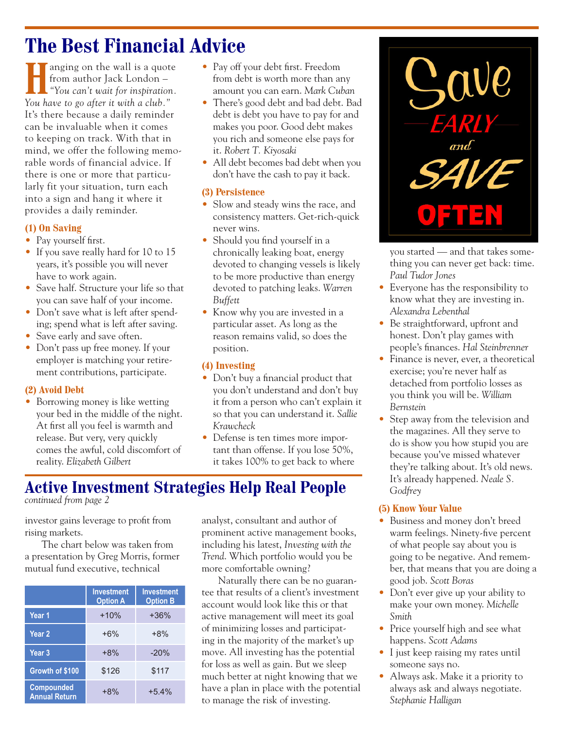## **The Best Financial Advice**

**Hanging on the wall is a quote**<br> **from author Jack London –**<br> **"You can't wait for inspiration.** from author Jack London – *You have to go after it with a club."*  It's there because a daily reminder can be invaluable when it comes to keeping on track. With that in mind, we offer the following memorable words of financial advice. If there is one or more that particularly fit your situation, turn each into a sign and hang it where it provides a daily reminder.

#### **(1) On Saving**

- Pay yourself first.
- If you save really hard for 10 to 15 years, it's possible you will never have to work again.
- Save half. Structure your life so that you can save half of your income.
- Don't save what is left after spending; spend what is left after saving.
- Save early and save often.
- Don't pass up free money. If your employer is matching your retirement contributions, participate.

#### **(2) Avoid Debt**

• Borrowing money is like wetting your bed in the middle of the night. At first all you feel is warmth and release. But very, very quickly comes the awful, cold discomfort of reality. *Elizabeth Gilbert*

- Pay off your debt first. Freedom from debt is worth more than any amount you can earn. *Mark Cuban*
- There's good debt and bad debt. Bad debt is debt you have to pay for and makes you poor. Good debt makes you rich and someone else pays for it. *Robert T. Kiyosaki*
- All debt becomes bad debt when you don't have the cash to pay it back.

#### **(3) Persistence**

- Slow and steady wins the race, and consistency matters. Get-rich-quick never wins.
- Should you find yourself in a chronically leaking boat, energy devoted to changing vessels is likely to be more productive than energy devoted to patching leaks. *Warren Buffett*
- **•** Know why you are invested in a particular asset. As long as the reason remains valid, so does the position.

#### **(4) Investing**

- Don't buy a financial product that you don't understand and don't buy it from a person who can't explain it so that you can understand it. *Sallie Krawcheck*
- **•** Defense is ten times more important than offense. If you lose 50%, it takes 100% to get back to where

### **Active Investment Strategies Help Real People**

*continued from page 2*

investor gains leverage to profit from rising markets.

The chart below was taken from a presentation by Greg Morris, former mutual fund executive, technical

|                                           | <b>Investment</b><br><b>Option A</b> | <b>Investment</b><br><b>Option B</b> |  |
|-------------------------------------------|--------------------------------------|--------------------------------------|--|
| Year 1                                    | $+10%$                               | $+36%$                               |  |
| Year 2                                    | $+6%$                                | $+8%$                                |  |
| Year <sub>3</sub>                         | $+8%$                                | $-20%$                               |  |
| Growth of \$100                           | \$126                                | \$117                                |  |
| <b>Compounded</b><br><b>Annual Return</b> | $+8%$                                | $+5.4%$                              |  |

analyst, consultant and author of prominent active management books, including his latest, *Investing with the Trend*. Which portfolio would you be more comfortable owning?

Naturally there can be no guarantee that results of a client's investment account would look like this or that active management will meet its goal of minimizing losses and participating in the majority of the market's up move. All investing has the potential for loss as well as gain. But we sleep much better at night knowing that we have a plan in place with the potential to manage the risk of investing.



you started — and that takes something you can never get back: time. *Paul Tudor Jones*

- **•** Everyone has the responsibility to know what they are investing in. *Alexandra Lebenthal*
- **•** Be straightforward, upfront and honest. Don't play games with people's finances. *Hal Steinbrenner*
- **•** Finance is never, ever, a theoretical exercise; you're never half as detached from portfolio losses as you think you will be. *William Bernstein*
- **•** Step away from the television and the magazines. All they serve to do is show you how stupid you are because you've missed whatever they're talking about. It's old news. It's already happened. *Neale S. Godfrey*

#### **(5) Know Your Value**

- Business and money don't breed warm feelings. Ninety-five percent of what people say about you is going to be negative. And remember, that means that you are doing a good job. *Scott Boras*
- **•** Don't ever give up your ability to make your own money. *Michelle Smith*
- **•** Price yourself high and see what happens. *Scott Adams*
- **•** I just keep raising my rates until someone says no.
- Always ask. Make it a priority to always ask and always negotiate. *Stephanie Halligan*